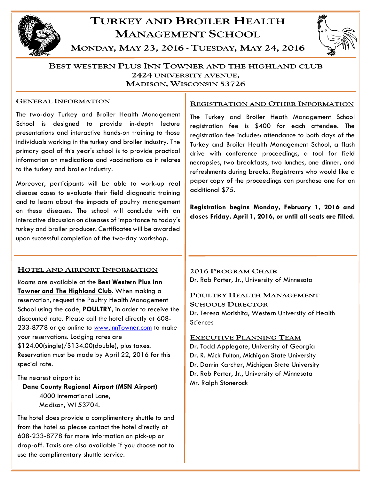

# **TURKEY AND BROILER HEALTH MANAGEMENT SCHOOL**



MONDAY, MAY 23, 2016 - TUESDAY, MAY 24, 2016

### **BEST WESTERN PLUS INN TOWNER AND THE HIGHLAND CLUB** 2424 UNIVERSITY AVENUE. **MADISON, WISCONSIN 53726**

#### **GENERAL INFORMATION**

The two-day Turkey and Broiler Health Management School is designed to provide in-depth lecture presentations and interactive hands-on training to those individuals working in the turkey and broiler industry. The primary goal of this year's school is to provide practical information on medications and vaccinations as it relates to the turkey and broiler industry.

Moreover, participants will be able to work-up real disease cases to evaluate their field diagnostic training and to learn about the impacts of poultry management on these diseases. The school will conclude with an interactive discussion on diseases of importance to today's turkey and broiler producer. Certificates will be awarded upon successful completion of the two-day workshop.

#### HOTEL AND AIRPORT INFORMATION

Rooms are available at the **Best Western Plus Inn Towner and The Highland Club**. When making a reservation, request the Poultry Health Management School using the code, **POULTRY**, in order to receive the discounted rate. Please call the hotel directly at 608- 233-8778 or go online to www.InnTowner.com to make your reservations. Lodging rates are \$124.00(single)/\$134.00(double), plus taxes. Reservation must be made by April 22, 2016 for this special rate.

#### The nearest airport is:

# **Dane County Regional Airport (MSN Airport)** 4000 International Lane, Madison, WI 53704.

The hotel does provide a complimentary shuttle to and from the hotel so please contact the hotel directly at 608-233-8778 for more information on pick-up or drop-off. Taxis are also available if you choose not to use the complimentary shuttle service.

#### REGISTRATION AND OTHER INFORMATION

The Turkey and Broiler Heath Management School registration fee is \$400 for each attendee. The registration fee includes: attendance to both days of the Turkey and Broiler Health Management School, a flash drive with conference proceedings, a tool for field necropsies, two breakfasts, two lunches, one dinner, and refreshments during breaks. Registrants who would like a paper copy of the proceedings can purchase one for an additional \$75.

**Registration begins Monday, February 1, 2016 and closes Friday, April 1, 2016, or until all seats are filled.** 

## **2016 PROGRAM CHAIR** Dr. Rob Porter, Jr., University of Minnesota

## POULTRY HEALTH MANAGEMENT

**SCHOOLS DIRECTOR** Dr. Teresa Morishita, Western University of Health **Sciences** 

#### **EXECUTIVE PLANNING TEAM**

Dr. Todd Applegate, University of Georgia Dr. R. Mick Fulton, Michigan State University Dr. Darrin Karcher, Michigan State University Dr. Rob Porter, Jr., University of Minnesota Mr. Ralph Stonerock